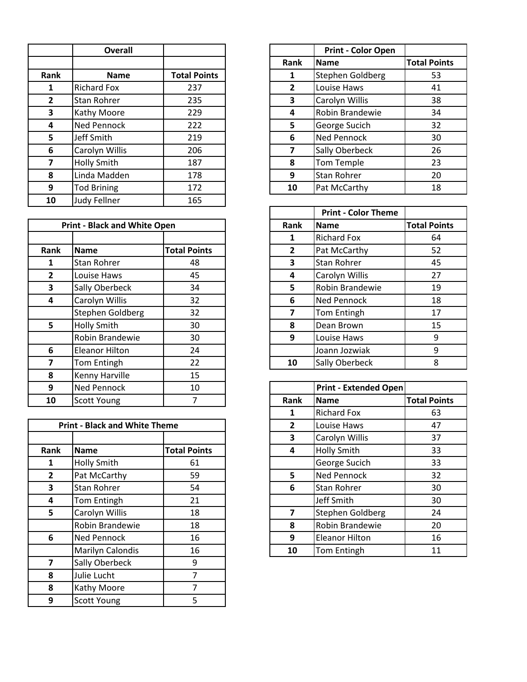|              | <b>Overall</b>      |                     |              | <b>Print - Color Open</b> |                  |
|--------------|---------------------|---------------------|--------------|---------------------------|------------------|
|              |                     |                     | Rank         | <b>Name</b>               | <b>Total Poi</b> |
| Rank         | <b>Name</b>         | <b>Total Points</b> | 1.           | Stephen Goldberg          | 53               |
|              | <b>Richard Fox</b>  | 237                 | $\mathbf{2}$ | Louise Haws               | 41               |
| $\mathbf{2}$ | Stan Rohrer         | 235                 | 3            | Carolyn Willis            | 38               |
| 3            | Kathy Moore         | 229                 | 4            | Robin Brandewie           | 34               |
| 4            | Ned Pennock         | 222                 | 5            | George Sucich             | 32               |
| 5.           | Jeff Smith          | 219                 | 6            | <b>Ned Pennock</b>        | 30               |
| 6            | Carolyn Willis      | 206                 | 7            | Sally Oberbeck            | 26               |
| 7            | Holly Smith         | 187                 | 8            | <b>Tom Temple</b>         | 23               |
| 8            | Linda Madden        | 178                 | 9            | Stan Rohrer               | 20               |
| 9            | <b>Tod Brining</b>  | 172                 | 10           | Pat McCarthy              | 18               |
| 10           | <b>Judy Fellner</b> | 165                 |              |                           |                  |

|                | <b>Print - Black and White Open</b> |                     | Rank         | Name                         | <b>Total Poi</b> |
|----------------|-------------------------------------|---------------------|--------------|------------------------------|------------------|
|                |                                     |                     | 1            | <b>Richard Fox</b>           | 64               |
| Rank           | <b>Name</b>                         | <b>Total Points</b> | $\mathbf{2}$ | Pat McCarthy                 | 52               |
| 1              | Stan Rohrer                         | 48                  | 3            | Stan Rohrer                  | 45               |
| $\mathbf{2}$   | Louise Haws                         | 45                  | 4            | Carolyn Willis               | 27               |
| 3              | Sally Oberbeck                      | 34                  | 5            | Robin Brandewie              | 19               |
| 4              | Carolyn Willis                      | 32                  | 6            | Ned Pennock                  | 18               |
|                | Stephen Goldberg                    | 32                  | 7            | Tom Entingh                  | 17               |
| 5.             | <b>Holly Smith</b>                  | 30                  | 8            | Dean Brown                   | 15               |
|                | Robin Brandewie                     | 30                  | 9            | Louise Haws                  | 9                |
| 6              | <b>Eleanor Hilton</b>               | 24                  |              | Joann Jozwiak                | 9                |
| $\overline{ }$ | Tom Entingh                         | 22                  | 10           | Sally Oberbeck               | 8                |
| 8              | Kenny Harville                      | 15                  |              |                              |                  |
| 9              | Ned Pennock                         | 10                  |              | <b>Print - Extended Open</b> |                  |
| 10             | <b>Scott Young</b>                  | 7                   | <b>Rank</b>  | <b>Name</b>                  | <b>Total Poi</b> |
|                |                                     |                     |              |                              |                  |

|              | <b>Print - Black and White Theme</b> |                     | $\overline{2}$ | Louise Haws           | 47 |
|--------------|--------------------------------------|---------------------|----------------|-----------------------|----|
|              |                                      |                     | 3              | Carolyn Willis        | 37 |
| Rank         | <b>Name</b>                          | <b>Total Points</b> | 4              | <b>Holly Smith</b>    | 33 |
|              | Holly Smith                          | 61                  |                | George Sucich         | 33 |
| $\mathbf{2}$ | Pat McCarthy                         | 59                  | 5              | <b>Ned Pennock</b>    | 32 |
| 3            | Stan Rohrer                          | 54                  | 6              | <b>Stan Rohrer</b>    | 30 |
| 4            | Tom Entingh                          | 21                  |                | Jeff Smith            | 30 |
| 5.           | Carolyn Willis                       | 18                  | 7              | Stephen Goldberg      | 24 |
|              | Robin Brandewie                      | 18                  | 8              | Robin Brandewie       | 20 |
| 6            | Ned Pennock                          | 16                  | 9              | <b>Eleanor Hilton</b> | 16 |
|              | Marilyn Calondis                     | 16                  | 10             | Tom Entingh           | 11 |
| 7            | Sally Oberbeck                       | 9                   |                |                       |    |
| 8            | Julie Lucht                          | 7                   |                |                       |    |
| 8            | Kathy Moore                          | 7                   |                |                       |    |
| 9            | Scott Young                          | 5                   |                |                       |    |

| <b>Overall</b> |                     |      | <b>Print - Color Open</b> |                     |
|----------------|---------------------|------|---------------------------|---------------------|
|                |                     | Rank | <b>Name</b>               | <b>Total Points</b> |
| <b>Name</b>    | <b>Total Points</b> | 1    | Stephen Goldberg          | 53                  |
| Fox            | 237                 | 2    | Louise Haws               | 41                  |
| hrer           | 235                 | 3    | Carolyn Willis            | 38                  |
| <b>loore</b>   | 229                 | 4    | Robin Brandewie           | 34                  |
| mock           | 222                 | 5    | George Sucich             | 32                  |
| th             | 219                 | 6    | Ned Pennock               | 30                  |
| Willis         | 206                 | 7    | Sally Oberbeck            | 26                  |
| nith           | 187                 | 8    | Tom Temple                | 23                  |
| adden          | 178                 | 9    | Stan Rohrer               | 20                  |
| ing            | 172                 | 10   | Pat McCarthy              | 18                  |
|                |                     |      |                           |                     |

| $3001$ $\mu$                        | ∸◡                  |              |                            |                     |
|-------------------------------------|---------------------|--------------|----------------------------|---------------------|
|                                     |                     |              | <b>Print - Color Theme</b> |                     |
| <b>Print - Black and White Open</b> |                     | Rank         | <b>Name</b>                | <b>Total Points</b> |
|                                     |                     |              | <b>Richard Fox</b>         | 64                  |
| <b>Name</b>                         | <b>Total Points</b> | $\mathbf{2}$ | Pat McCarthy               | 52                  |
| <b>Stan Rohrer</b>                  | 48                  | 3            | Stan Rohrer                | 45                  |
| Louise Haws                         | 45                  | 4            | Carolyn Willis             | 27                  |
| Sally Oberbeck                      | 34                  | 5            | Robin Brandewie            | 19                  |
| Carolyn Willis                      | 32                  | 6            | Ned Pennock                | 18                  |
| Stephen Goldberg                    | 32                  |              | Tom Entingh                | 17                  |
| <b>Holly Smith</b>                  | 30                  | 8            | Dean Brown                 | 15                  |
| Robin Brandewie                     | 30                  | 9            | Louise Haws                | 9                   |
| <b>Eleanor Hilton</b>               | 24                  |              | Joann Jozwiak              | 9                   |
| Tom Entingh                         | 22                  | 10           | Sally Oberbeck             | 8                   |
|                                     |                     |              |                            |                     |

| $\overline{9}$          | <b>Ned Pennock</b>                   | 10                  |                         | Print - Extended Open |                     |
|-------------------------|--------------------------------------|---------------------|-------------------------|-----------------------|---------------------|
| 10                      | <b>Scott Young</b>                   | 7                   | Rank                    | <b>Name</b>           | <b>Total Points</b> |
|                         |                                      |                     | 1                       | <b>Richard Fox</b>    | 63                  |
|                         | <b>Print - Black and White Theme</b> |                     | $\mathbf{2}$            | Louise Haws           | 47                  |
|                         |                                      |                     | $\overline{\mathbf{3}}$ | Carolyn Willis        | 37                  |
| ank                     | <b>Name</b>                          | <b>Total Points</b> | 4                       | <b>Holly Smith</b>    | 33                  |
| $\mathbf{1}$            | <b>Holly Smith</b>                   | 61                  |                         | George Sucich         | 33                  |
| $2^{\circ}$             | Pat McCarthy                         | 59                  | 5                       | Ned Pennock           | 32                  |
| $\mathbf{3}$            | Stan Rohrer                          | 54                  | 6                       | Stan Rohrer           | 30                  |
| $\overline{\mathbf{4}}$ | <b>Tom Entingh</b>                   | 21                  |                         | Jeff Smith            | 30                  |
| 5 <sub>1</sub>          | Carolyn Willis                       | 18                  | 7                       | Stephen Goldberg      | 24                  |
|                         | Robin Brandewie                      | 18                  | 8                       | Robin Brandewie       | 20                  |
| 6                       | <b>Ned Pennock</b>                   | 16                  | 9                       | <b>Eleanor Hilton</b> | 16                  |
|                         | Marilyn Calondis                     | 16                  | 10                      | <b>Tom Entingh</b>    | 11                  |